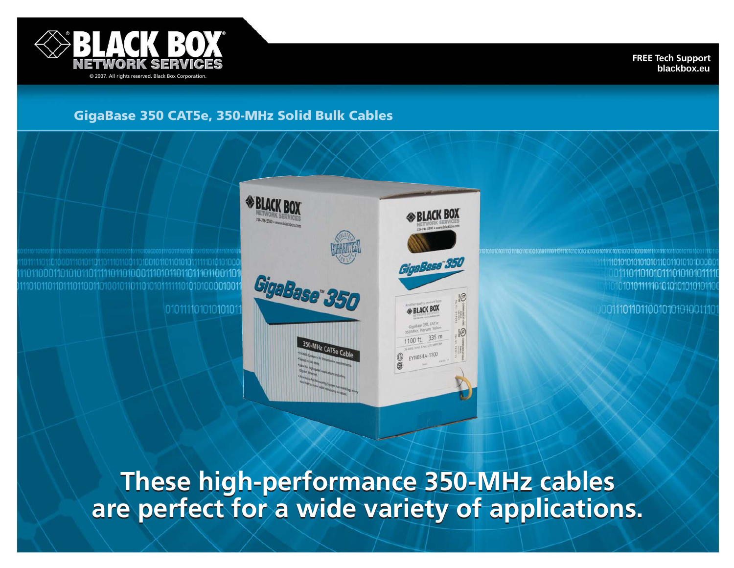

**FREE Tech Support blackbox.eu**

# **GigaBase 350 CAT5e, 350-MHz Solid Bulk Cables**

01101010110111110110100011101011011011101100110 

01011110101010101



011101101010111010101 101010111111010101010101011

0011101101100101010100111

**These high-performance 350-MHz cables are perfect for a wide variety of applications.**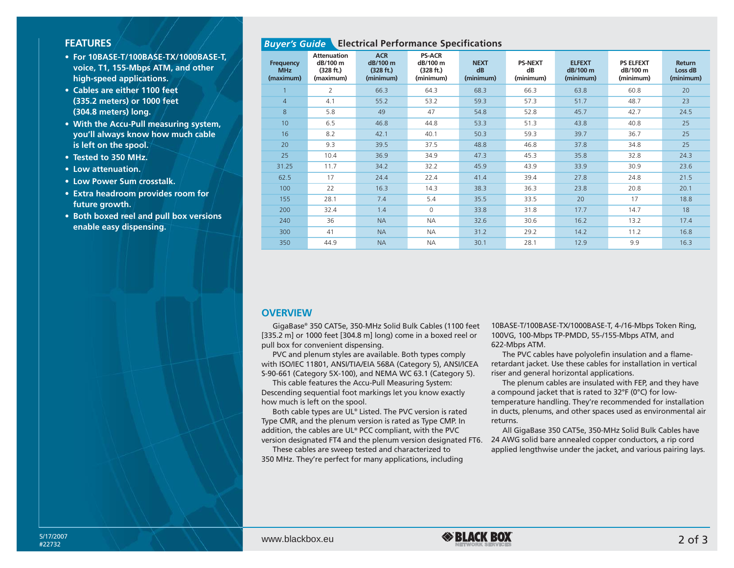### **FEATURES**

- **For 10BASE-T/100BASE-TX/1000BASE-T, voice, T1, 155-Mbps ATM, and other high-speed applications.**
- **Cables are either 1100 feet (335.2 meters) or 1000 feet (304.8 meters) long.**
- **With the Accu-Pull measuring system, you'll always know how much cable is left on the spool.**
- **Tested to 350 MHz.**
- **Low attenuation.**
- **Low Power Sum crosstalk.**
- **Extra headroom provides room for future growth.**
- **Both boxed reel and pull box versions enable easy dispensing.**

## *Buyer's Guide* **Electrical Performance Specifications**

| <b>Frequency</b><br><b>MHz</b><br>(maximum) | Attenuation<br>dB/100 m<br>(328 ft.)<br>(maximum) | <b>ACR</b><br>dB/100 m<br>(328 ft.)<br>(minimum) | <b>PS-ACR</b><br>dB/100 m<br>(328 ft.)<br>(minimum) | <b>NEXT</b><br>dB<br>(minimum) | <b>PS-NEXT</b><br>dB<br>(minimum) | <b>ELFEXT</b><br>dB/100 m<br>(minimum) | <b>PS ELFEXT</b><br>dB/100 m<br>(minimum) | <b>Return</b><br>Loss dB<br>(minimum) |
|---------------------------------------------|---------------------------------------------------|--------------------------------------------------|-----------------------------------------------------|--------------------------------|-----------------------------------|----------------------------------------|-------------------------------------------|---------------------------------------|
|                                             | $\overline{2}$                                    | 66.3                                             | 64.3                                                | 68.3                           | 66.3                              | 63.8                                   | 60.8                                      | 20                                    |
| $\overline{4}$                              | 4.1                                               | 55.2                                             | 53.2                                                | 59.3                           | 57.3                              | 51.7                                   | 48.7                                      | 23                                    |
| 8                                           | 5.8                                               | 49                                               | 47                                                  | 54.8                           | 52.8                              | 45.7                                   | 42.7                                      | 24.5                                  |
| 10 <sup>10</sup>                            | 6.5                                               | 46.8                                             | 44.8                                                | 53.3                           | 51.3                              | 43.8                                   | 40.8                                      | 25                                    |
| 16                                          | 8.2                                               | 42.1                                             | 40.1                                                | 50.3                           | 59.3                              | 39.7                                   | 36.7                                      | 25                                    |
| 20                                          | 9.3                                               | 39.5                                             | 37.5                                                | 48.8                           | 46.8                              | 37.8                                   | 34.8                                      | 25                                    |
| 25                                          | 10.4                                              | 36.9                                             | 34.9                                                | 47.3                           | 45.3                              | 35.8                                   | 32.8                                      | 24.3                                  |
| 31.25                                       | 11.7                                              | 34.2                                             | 32.2                                                | 45.9                           | 43.9                              | 33.9                                   | 30.9                                      | 23.6                                  |
| 62.5                                        | 17                                                | 24.4                                             | 22.4                                                | 41.4                           | 39.4                              | 27.8                                   | 24.8                                      | 21.5                                  |
| 100                                         | 22                                                | 16.3                                             | 14.3                                                | 38.3                           | 36.3                              | 23.8                                   | 20.8                                      | 20.1                                  |
| 155                                         | 28.1                                              | 7.4                                              | 5.4                                                 | 35.5                           | 33.5                              | 20                                     | 17                                        | 18.8                                  |
| 200                                         | 32.4                                              | 1.4                                              | 0                                                   | 33.8                           | 31.8                              | 17.7                                   | 14.7                                      | 18                                    |
| 240                                         | 36                                                | <b>NA</b>                                        | <b>NA</b>                                           | 32.6                           | 30.6                              | 16.2                                   | 13.2                                      | 17.4                                  |
| 300                                         | 41                                                | <b>NA</b>                                        | <b>NA</b>                                           | 31.2                           | 29.2                              | 14.2                                   | 11.2                                      | 16.8                                  |
| 350                                         | 44.9                                              | <b>NA</b>                                        | <b>NA</b>                                           | 30.1                           | 28.1                              | 12.9                                   | 9.9                                       | 16.3                                  |

#### **OVERVIEW**

GigaBase® 350 CAT5e, 350-MHz Solid Bulk Cables (1100 feet [335.2 m] or 1000 feet [304.8 m] long) come in a boxed reel or pull box for convenient dispensing.

PVC and plenum styles are available. Both types comply with ISO/IEC 11801, ANSI/TIA/EIA 568A (Category 5), ANSI/ICEA S-90-661 (Category 5X-100), and NEMA WC 63.1 (Category 5).

This cable features the Accu-Pull Measuring System: Descending sequential foot markings let you know exactly how much is left on the spool.

Both cable types are UL® Listed. The PVC version is rated Type CMR, and the plenum version is rated as Type CMP. In addition, the cables are UL® PCC compliant, with the PVC version designated FT4 and the plenum version designated FT6.

These cables are sweep tested and characterized to 350 MHz. They're perfect for many applications, including 10BASE-T/100BASE-TX/1000BASE-T, 4-/16-Mbps Token Ring, 100VG, 100-Mbps TP-PMDD, 55-/155-Mbps ATM, and 622-Mbps ATM.

The PVC cables have polyolefin insulation and a flameretardant jacket. Use these cables for installation in vertical riser and general horizontal applications.

The plenum cables are insulated with FEP, and they have a compound jacket that is rated to 32°F (0°C) for lowtemperature handling. They're recommended for installation in ducts, plenums, and other spaces used as environmental air returns.

All GigaBase 350 CAT5e, 350-MHz Solid Bulk Cables have 24 AWG solid bare annealed copper conductors, a rip cord applied lengthwise under the jacket, and various pairing lays.